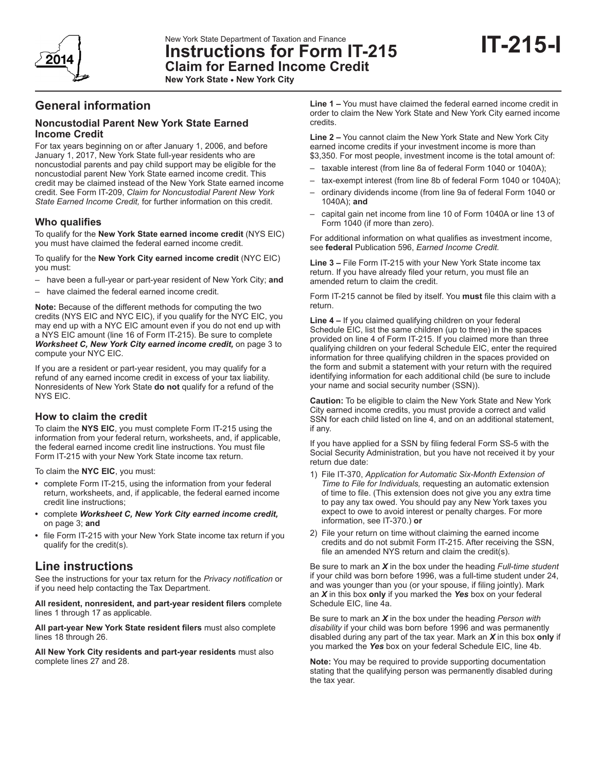

New York State Department of Taxation and Finance

**Instructions for Form IT-215 Claim for Earned Income Credit**

**New York State • New York City**

# **General information**

### **Noncustodial Parent New York State Earned Income Credit**

For tax years beginning on or after January 1, 2006, and before January 1, 2017, New York State full-year residents who are noncustodial parents and pay child support may be eligible for the noncustodial parent New York State earned income credit. This credit may be claimed instead of the New York State earned income credit. See Form IT-209, *Claim for Noncustodial Parent New York State Earned Income Credit,* for further information on this credit.

### **Who qualifies**

To qualify for the **New York State earned income credit** (NYS EIC) you must have claimed the federal earned income credit.

To qualify for the **New York City earned income credit** (NYC EIC) you must:

- have been a full-year or part-year resident of New York City; **and**
- have claimed the federal earned income credit.

**Note:** Because of the different methods for computing the two credits (NYS EIC and NYC EIC), if you qualify for the NYC EIC, you may end up with a NYC EIC amount even if you do not end up with a NYS EIC amount (line 16 of Form IT-215). Be sure to complete *Worksheet C, New York City earned income credit,* on page 3 to compute your NYC EIC.

If you are a resident or part-year resident, you may qualify for a refund of any earned income credit in excess of your tax liability. Nonresidents of New York State **do not** qualify for a refund of the NYS EIC.

### **How to claim the credit**

To claim the **NYS EIC**, you must complete Form IT-215 using the information from your federal return, worksheets, and, if applicable, the federal earned income credit line instructions. You must file Form IT-215 with your New York State income tax return.

To claim the **NYC EIC**, you must:

- **•** complete Form IT-215, using the information from your federal return, worksheets, and, if applicable, the federal earned income credit line instructions;
- **•** complete *Worksheet C, New York City earned income credit,*  on page 3; **and**
- **•** file Form IT-215 with your New York State income tax return if you qualify for the credit(s).

## **Line instructions**

See the instructions for your tax return for the *Privacy notification* or if you need help contacting the Tax Department.

**All resident, nonresident, and part-year resident filers** complete lines 1 through 17 as applicable.

**All part-year New York State resident filers** must also complete lines 18 through 26.

**All New York City residents and part-year residents** must also complete lines 27 and 28.

**Line 1 –** You must have claimed the federal earned income credit in order to claim the New York State and New York City earned income credits.

**Line 2 –** You cannot claim the New York State and New York City earned income credits if your investment income is more than \$3,350. For most people, investment income is the total amount of:

- taxable interest (from line 8a of federal Form 1040 or 1040A);
- tax-exempt interest (from line 8b of federal Form 1040 or 1040A);
- ordinary dividends income (from line 9a of federal Form 1040 or 1040A); **and**
- capital gain net income from line 10 of Form 1040A or line 13 of Form 1040 (if more than zero).

For additional information on what qualifies as investment income, see **federal** Publication 596, *Earned Income Credit.*

**Line 3 –** File Form IT-215 with your New York State income tax return. If you have already filed your return, you must file an amended return to claim the credit.

Form IT-215 cannot be filed by itself. You **must** file this claim with a return.

**Line 4 –** If you claimed qualifying children on your federal Schedule EIC, list the same children (up to three) in the spaces provided on line 4 of Form IT-215. If you claimed more than three qualifying children on your federal Schedule EIC, enter the required information for three qualifying children in the spaces provided on the form and submit a statement with your return with the required identifying information for each additional child (be sure to include your name and social security number (SSN)).

**Caution:** To be eligible to claim the New York State and New York City earned income credits, you must provide a correct and valid SSN for each child listed on line 4, and on an additional statement, if any.

If you have applied for a SSN by filing federal Form SS-5 with the Social Security Administration, but you have not received it by your return due date:

- 1) File IT-370, *Application for Automatic Six-Month Extension of Time to File for Individuals,* requesting an automatic extension of time to file. (This extension does not give you any extra time to pay any tax owed. You should pay any New York taxes you expect to owe to avoid interest or penalty charges. For more information, see IT-370.) **or**
- 2) File your return on time without claiming the earned income credits and do not submit Form IT-215. After receiving the SSN, file an amended NYS return and claim the credit(s).

Be sure to mark an *X* in the box under the heading *Full-time student* if your child was born before 1996, was a full-time student under 24, and was younger than you (or your spouse, if filing jointly). Mark an *X* in this box **only** if you marked the *Yes* box on your federal Schedule EIC, line 4a.

Be sure to mark an *X* in the box under the heading *Person with disability* if your child was born before 1996 and was permanently disabled during any part of the tax year. Mark an *X* in this box **only** if you marked the *Yes* box on your federal Schedule EIC, line 4b.

**Note:** You may be required to provide supporting documentation stating that the qualifying person was permanently disabled during the tax year.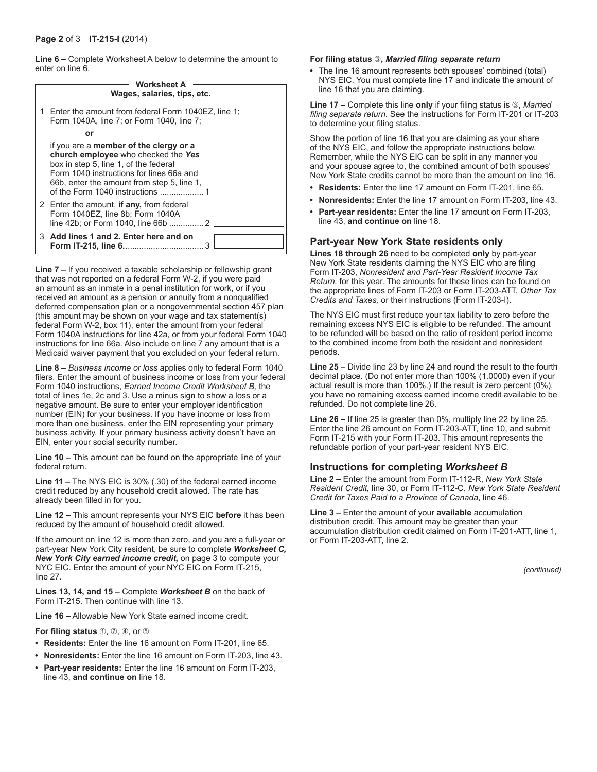**Line 6 –** Complete Worksheet A below to determine the amount to enter on line 6.

| <b>Worksheet A</b> |  |                                                                                                                                                                                                                  |  |
|--------------------|--|------------------------------------------------------------------------------------------------------------------------------------------------------------------------------------------------------------------|--|
|                    |  | Wages, salaries, tips, etc.                                                                                                                                                                                      |  |
|                    |  | Enter the amount from federal Form 1040EZ, line 1;<br>Form 1040A, line 7; or Form 1040, line 7;                                                                                                                  |  |
|                    |  | or                                                                                                                                                                                                               |  |
|                    |  | if you are a member of the clergy or a<br>church employee who checked the Yes<br>box in step 5, line 1, of the federal<br>Form 1040 instructions for lines 66a and<br>66b, enter the amount from step 5, line 1, |  |
|                    |  | 2 Enter the amount, if any, from federal<br>Form 1040EZ, line 8b; Form 1040A                                                                                                                                     |  |
|                    |  | 3 Add lines 1 and 2. Enter here and on                                                                                                                                                                           |  |

**Line 7 –** If you received a taxable scholarship or fellowship grant that was not reported on a federal Form W-2, if you were paid an amount as an inmate in a penal institution for work, or if you received an amount as a pension or annuity from a nonqualified deferred compensation plan or a nongovernmental section 457 plan (this amount may be shown on your wage and tax statement(s) federal Form W-2, box 11), enter the amount from your federal Form 1040A instructions for line 42a, or from your federal Form 1040 instructions for line 66a. Also include on line 7 any amount that is a Medicaid waiver payment that you excluded on your federal return.

**Line 8 –** *Business income or loss* applies only to federal Form 1040 filers. Enter the amount of business income or loss from your federal Form 1040 instructions, *Earned Income Credit Worksheet B,* the total of lines 1e, 2c and 3. Use a minus sign to show a loss or a negative amount. Be sure to enter your employer identification number (EIN) for your business. If you have income or loss from more than one business, enter the EIN representing your primary business activity. If your primary business activity doesn't have an EIN, enter your social security number.

**Line 10 –** This amount can be found on the appropriate line of your federal return.

**Line 11 –** The NYS EIC is 30% (.30) of the federal earned income credit reduced by any household credit allowed. The rate has already been filled in for you.

**Line 12 –** This amount represents your NYS EIC **before** it has been reduced by the amount of household credit allowed.

If the amount on line 12 is more than zero, and you are a full-year or part-year New York City resident, be sure to complete *Worksheet C, New York City earned income credit,* on page 3 to compute your NYC EIC. Enter the amount of your NYC EIC on Form IT-215, line 27.

**Lines 13, 14, and 15 –** Complete *Worksheet B* on the back of Form IT-215. Then continue with line 13.

**Line 16 –** Allowable New York State earned income credit.

**For filing status 1, 2, 4, or 6** 

- **• Residents:** Enter the line 16 amount on Form IT-201, line 65.
- **• Nonresidents:** Enter the line 16 amount on Form IT-203, line 43.
- **• Part-year residents:** Enter the line 16 amount on Form IT-203, line 43, **and continue on** line 18.

#### **For filing status ,** *Married filing separate return*

**•** The line 16 amount represents both spouses' combined (total) NYS EIC. You must complete line 17 and indicate the amount of line 16 that you are claiming.

**Line 17 –** Complete this line **only** if your filing status is 3, Married *filing separate return.* See the instructions for Form IT-201 or IT-203 to determine your filing status.

Show the portion of line 16 that you are claiming as your share of the NYS EIC, and follow the appropriate instructions below. Remember, while the NYS EIC can be split in any manner you and your spouse agree to, the combined amount of both spouses' New York State credits cannot be more than the amount on line 16.

- **• Residents:** Enter the line 17 amount on Form IT-201, line 65.
- **• Nonresidents:** Enter the line 17 amount on Form IT-203, line 43.
- **• Part-year residents:** Enter the line 17 amount on Form IT-203, line 43, **and continue on** line 18.

#### **Part-year New York State residents only**

**Lines 18 through 26** need to be completed **only** by part-year New York State residents claiming the NYS EIC who are filing Form IT-203, *Nonresident and Part-Year Resident Income Tax Return,* for this year. The amounts for these lines can be found on the appropriate lines of Form IT-203 or Form IT-203-ATT, *Other Tax Credits and Taxes,* or their instructions (Form IT-203-I).

The NYS EIC must first reduce your tax liability to zero before the remaining excess NYS EIC is eligible to be refunded. The amount to be refunded will be based on the ratio of resident period income to the combined income from both the resident and nonresident periods.

**Line 25 –** Divide line 23 by line 24 and round the result to the fourth decimal place. (Do not enter more than 100% (1.0000) even if your actual result is more than 100%.) If the result is zero percent (0%), you have no remaining excess earned income credit available to be refunded. Do not complete line 26.

**Line 26 –** If line 25 is greater than 0%, multiply line 22 by line 25. Enter the line 26 amount on Form IT-203-ATT, line 10, and submit Form IT-215 with your Form IT-203. This amount represents the refundable portion of your part-year resident NYS EIC.

#### **Instructions for completing** *Worksheet B*

**Line 2 –** Enter the amount from Form IT-112-R, *New York State Resident Credit,* line 30, or Form IT-112-C, *New York State Resident Credit for Taxes Paid to a Province of Canada*, line 46.

**Line 3 –** Enter the amount of your **available** accumulation distribution credit. This amount may be greater than your accumulation distribution credit claimed on Form IT-201-ATT, line 1, or Form IT-203-ATT, line 2.

*(continued)*